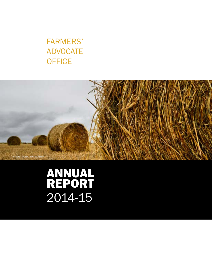### FARMERS' ADVOCATE **OFFICE**



# ANNUAL REPORT 2014-15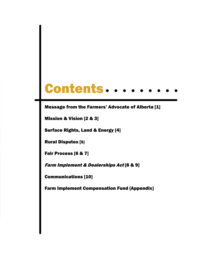# Contents..

#### Message from the Farmers' Advocate of Alberta [1]

Mission & Vision [2 & 3]

Surface Rights, Land & Energy [4]

Rural Disputes [5]

Fair Process [6 & 7]

Farm Implement & Dealerships Act [8 & 9]

Communications [10]

Farm Implement Compensation Fund {Appendix]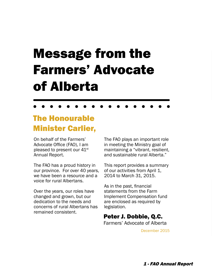# Message from the Farmers' Advocate of Alberta

### The Honourable Minister Carlier,

On behalf of the Farmers' Advocate Office (FAO), I am pleased to present our 41<sup>st</sup> Annual Report.

The FAO has a proud history in our province. For over 40 years, we have been a resource and a voice for rural Albertans.

Over the years, our roles have changed and grown, but our dedication to the needs and concerns of rural Albertans has remained consistent.

The FAO plays an important role in meeting the Ministry goal of maintaining a "vibrant, resilient, and sustainable rural Alberta."

This report provides a summary of our activities from April 1, 2014 to March 31, 2015.

As in the past, financial statements from the Farm Implement Compensation fund are enclosed as required by legislation.

### Peter J. Dobbie, Q.C.

Farmers' Advocate of Alberta

December 2015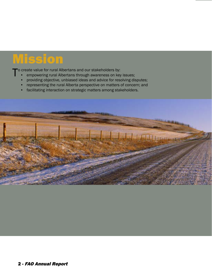# Mission

o create value for rural Albertans and our stakeholders by:

- empowering rural Albertans through awareness on key issues;
- providing objective, unbiased ideas and advice for resolving disputes;
- representing the rural Alberta perspective on matters of concern; and
- facilitating interaction on strategic matters among stakeholders.

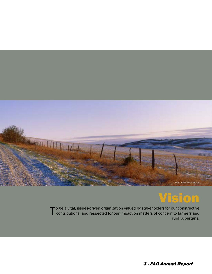

## Vision

To be a vital, issues-driven organization valued by stakeholders for our constructive<br>contributions, and respected for our impact on matters of concern to farmers and rural Albertans.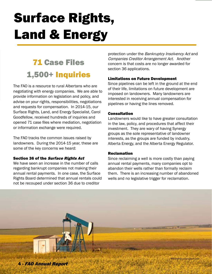# Surface Rights, Land & Energy

## 71 Case Files 1,500+ Inquiries

The FAO is a resource to rural Albertans who are negotiating with energy companies. We are able to provide information on legislation and policy, and advise on your rights, responsibilities, negotiations and requests for compensation. In 2014-15, our Surface Rights, Land, and Energy Specialist, Carol Goodfellow, received hundreds of inquiries and opened 71 case files where mediation, negotiation or information exchange were required.

The FAO tracks the common issues raised by landowners. During the 2014-15 year, these are some of the key concerns we heard:

#### Section 36 of the Surface Rights Act

We have seen an increase in the number of calls regarding bankrupt companies not making their annual rental payments. In one case, the Surface Rights Board determined that annual rentals could not be recouped under section 36 due to creditor

protection under the Bankruptcy Insolvency Act and Companies Creditor Arrangement Act. Another concern is that costs are no longer awarded for section 36 applications.

#### Limitations on Future Development

Since pipelines can be left in the ground at the end of their life, limitations on future development are imposed on landowners. Many landowners are interested in receiving annual compensation for pipelines or having the lines removed.

#### **Consultation**

Landowners would like to have greater consultation in the law, policy, and procedures that affect their investment. They are wary of having Synergy groups as the sole representative of landowner interests, as the groups are funded by industry, Alberta Energy, and the Alberta Energy Regulator.

#### Reclamation

Since reclaiming a well is more costly than paying annual rental payments, many companies opt to abandon their wells rather than formally reclaim them. There is an increasing number of abandoned wells and no legislative trigger for reclamation.

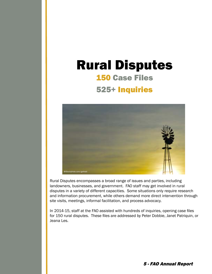## 150 Case Files 525+ Inquiries Rural Disputes



Rural Disputes encompasses a broad range of issues and parties, including landowners, businesses, and government. FAO staff may get involved in rural disputes in a variety of different capacities. Some situations only require research and information procurement, while others demand more direct intervention through site visits, meetings, informal facilitation, and process advocacy.

In 2014-15, staff at the FAO assisted with hundreds of inquiries, opening case files for 150 rural disputes. These files are addressed by Peter Dobbie, Janet Patriquin, or Jeana Les.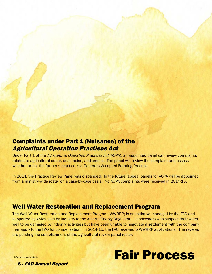

### Complaints under Part 1 (Nuisance) of the Agricultural Operation Practices Act

Under Part 1 of the Agricultural Operation Practices Act (AOPA), an appointed panel can review complaints related to agricultural odour, dust, noise, and smoke. The panel will review the complaint and assess whether or not the farmer's practice is a Generally Accepted Farming Practice.

In 2014, the Practice Review Panel was disbanded. In the future, appeal panels for AOPA will be appointed from a ministry-wide roster on a case-by-case basis. No AOPA complaints were received in 2014-15.

#### Well Water Restoration and Replacement Program

The Well Water Restoration and Replacement Program (WWRRP) is an initiative managed by the FAO and supported by levies paid by industry to the Alberta Energy Regulator. Landowners who suspect their water well to be damaged by industry activities but have been unable to negotiate a settlement with the company may apply to the FAO for compensation. In 2014-15, the FAO received 5 WWRRP applications. The reviews are pending the establishment of the agricultural review panel roster.



©iStockphoto.com/littleclie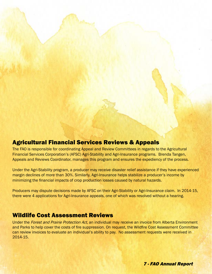# Agricultural Financial Services Reviews & Appeals

The FAO is responsible for coordinating Appeal and Review Committees in regards to the Agricultural Financial Services Corporation's (AFSC) Agri-Stability and Agri-Insurance programs. Brenda Tangen, Appeals and Reviews Coordinator, manages this program and ensures the expediency of the process.

Under the Agri-Stability program, a producer may receive disaster relief assistance if they have experienced margin declines of more than 30%. Similarly, Agri-Insurance helps stabilize a producer's income by minimizing the financial impacts of crop production losses caused by natural hazards.

Producers may dispute decisions made by AFSC on their Agri-Stability or Agri-Insurance claim. In 2014-15, there were 4 applications for Agri-Insurance appeals, one of which was resolved without a hearing.

#### Wildlife Cost Assessment Reviews

Under the Forest and Prairie Protection Act, an individual may receive an invoice from Alberta Environment and Parks to help cover the costs of fire suppression. On request, the Wildfire Cost Assessment Committee can review invoices to evaluate an individual's ability to pay. No assessment requests were received in 2014-15.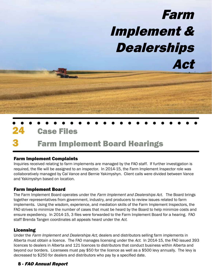

## **Farm Implement Board Hearings**

#### Farm Implement Complaints

Inquiries received relating to farm implements are managed by the FAO staff. If further investigation is required, the file will be assigned to an inspector. In 2014-15, the Farm Implement Inspector role was collaboratively managed by Cal Vance and Bernie Yakimyshyn. Client calls were divided between Vance and Yakimyshyn based on location.

#### Farm Implement Board

The Farm Implement Board operates under the Farm Implement and Dealerships Act. The Board brings together representatives from government, industry, and producers to review issues related to farm implements. Using the wisdom, experience, and mediation skills of the Farm Implement Inspectors, the FAO strives to minimize the number of cases that must be heard by the Board to help minimize costs and ensure expediency. In 2014-15, 3 files were forwarded to the Farm Implement Board for a hearing. FAO staff Brenda Tangen coordinates all appeals heard under the Act.

#### Licensing

Under the Farm Implement and Dealerships Act, dealers and distributors selling farm implements in Alberta must obtain a licence. The FAO manages licensing under the Act. In 2014-15, the FAO issued 393 licences to dealers in Alberta and 121 licences to distributors that conduct business within Alberta and beyond our borders. Licensees must pay \$50 for the licence as well as a \$500 levy annually. The levy is decreased to \$250 for dealers and distributors who pay by a specified date.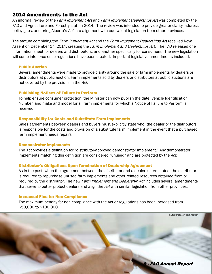#### 2014 Amendments to the Act

An informal review of the Farm Implement Act and Farm Implement Dealerships Act was completed by the FAO and Agriculture and Forestry staff in 2014. The review was intended to provide greater clarity, address policy gaps, and bring Alberta's Act into alignment with equivalent legislation from other provinces.

The statute combining the Farm Implement Act and the Farm Implement Dealerships Act received Royal Assent on December 17, 2014, creating the *Farm Implement and Dealerships Act*. The FAO released one information sheet for dealers and distributors, and another specifically for consumers. The new legislation will come into force once regulations have been created. Important legislative amendments included:

#### Public Auction

Several amendments were made to provide clarity around the sale of farm implements by dealers or distributors at public auction. Farm implements sold by dealers or distributors at public auctions are not covered by the provisions in the Act.

#### Publishing Notices of Failure to Perform

To help ensure consumer protection, the Minister can now publish the date, Vehicle Identification Number, and make and model for all farm implements for which a Notice of Failure to Perform is received.

#### Responsibility for Costs and Substitute Farm Implements

Sales agreements between dealers and buyers must explicitly state who (the dealer or the distributor) is responsible for the costs and provision of a substitute farm implement in the event that a purchased farm implement needs repairs.

#### Demonstrator Implements

The Act provides a definition for "distributor-approved demonstrator implement." Any demonstrator implements matching this definition are considered "unused" and are protected by the Act.

#### Distributor's Obligations Upon Termination of Dealership Agreement

As in the past, when the agreement between the distributor and a dealer is terminated, the distributor is required to repurchase unused farm implements and other related resources obtained from or required by the distributor. The new Farm Implement and Dealership Act includes several amendments that serve to better protect dealers and align the Act with similar legislation from other provinces.

#### Increased Fine for Non-Compliance

The maximum penalty for non-compliance with the Act or regulations has been increased from \$50,000 to \$100,000.

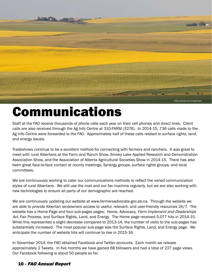

# Communications

Staff at the FAO receive thousands of phone calls each year on their cell phones and direct lines. Client calls are also received through the Ag Info Centre at 310-FARM (3276). In 2014-15, 736 calls made to the Ag Info Centre were forwarded to the FAO. Approximately half of these calls related to surface rights, land, and energy issues.

Tradeshows continue to be a excellent method for connecting with farmers and ranchers. It was great to meet with rural Albertans at the Farm and Ranch Show, Smoky Lake Applied Research and Demonstration Association Show, and the Association of Alberta Agricultural Societies Show in 2014-15. There has also been great face-to-face contact at county meetings, Synergy groups, surface rights groups, and local committees.

We are continuously working to cater our communications methods to reflect the varied communication styles of rural Albertans. We still use the mail and our fax machine regularly, but we are also working with new technologies to ensure all parts of our demographic are reached.

We are continuously updating our website at www.farmersadvocate.gov.ab.ca. Through the website we are able to provide Albertan landowners access to useful, relevant, and user-friendly resources 24/7. The website has a Home Page and four sub-pages pages: Home, Advocacy, Farm Implement and Dealerships Act, Fair Process, and Surface Rights, Land, and Energy. The Home page received 5,077 hits in 2014-15. While this represented a slight decrease compared to 2013-14, the number of visits to the sub-pages has substantially increased. The most popular sub-page was the Surface Rights, Land, and Energy page. We anticipate the number of website hits will continue to rise in 2015-16.

In November 2014, the FAO obtained Facebook and Twitter accounts. Each month we release approximately 2 Tweets. In five months we have gained 68 followers and had a total of 227 page views. Our Facebook following is about 50 people so far.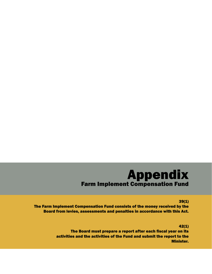### Appendix Farm Implement Compensation Fund

39(1)

The Farm Implement Compensation Fund consists of the money received by the Board from levies, assessments and penalties in accordance with this Act.

> 42(1) The Board must prepare a report after each fiscal year on its activities and the activities of the Fund and submit the report to the Minister.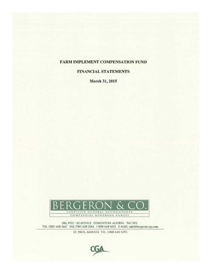#### FARM IMPLEMENT COMPENSATION FUND

#### **FINANCIAL STATEMENTS**

March 31, 2015



200, 8925 - 82 AVENUE EDMONTON, ALBERTA T6C 0Z2 TEL (780) 468-1667 FAX (780) 468-2565 1-800-668-6013 E-MAIL: info@bergeron-cga.com

ST. PAUL, ALBERTA TEL. (780) 645-5393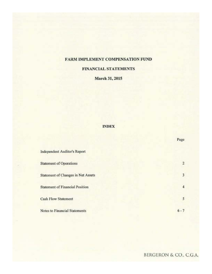#### FARM IMPLEMENT COMPENSATION FUND

#### **FINANCIAL STATEMENTS**

#### **March 31, 2015**

#### **INDEX**

|                                        | Lanc    |
|----------------------------------------|---------|
| Independent Auditor's Report           |         |
| <b>Statement of Operations</b>         | 2       |
| Statement of Changes in Net Assets     | 3       |
| <b>Statement of Financial Position</b> | 4       |
| <b>Cash Flow Statement</b>             | 5       |
| Notes to Financial Statements          | $6 - 7$ |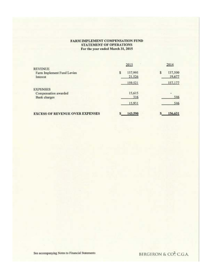#### FARM IMPLEMENT COMPENSATION FUND STATEMENT OF OPERATIONS For the year ended March 31, 2015

|                                                                | 2015                    | 2014                   |
|----------------------------------------------------------------|-------------------------|------------------------|
| <b>REVENUE</b><br>Farm Implement Fund Levies<br>Interest       | 137,995<br>s<br>21,526  | 137,500<br>s<br>19,677 |
|                                                                | 159,521                 | 157,177                |
| <b>EXPENSES</b><br>Compensation awarded<br><b>Bank</b> charges | 15,615<br>316<br>15,931 | 546<br>546             |
| <b>EXCESS OF REVENUE OVER EXPENSES</b>                         | 143,590                 | 156,631                |

See accompanying Notes to Financial Statements

BERGERON & CO<sup>2</sup>; C.G.A.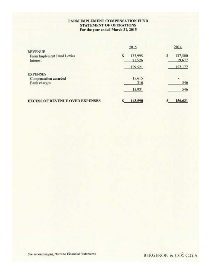#### FARM IMPLEMENT COMPENSATION FUND **STATEMENT OF OPERATIONS** For the year ended March 31, 2015

|                                                          | 2015                   | 2014              |
|----------------------------------------------------------|------------------------|-------------------|
| <b>REVENUE</b><br>Farm Implement Fund Levies<br>Interest | 137,995<br>s<br>21,526 | 137,500<br>19,677 |
|                                                          | 159,521                | 157,177           |
| <b>EXPENSES</b>                                          |                        |                   |
| Compensation awarded                                     | 15,615                 |                   |
| <b>Bank</b> charges                                      | 316                    | 546               |
|                                                          | 15,931                 | 546               |
| <b>EXCESS OF REVENUE OVER EXPENSES</b>                   | 143,590                | 156,631           |

BERGERON & CO<sup>2</sup>; C.G.A.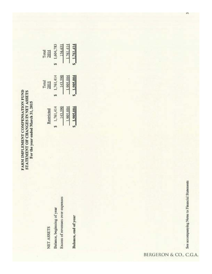FARM IMPLEMENT COMPENSATION FUND STATEMENT OF CHANGES IN NET ASSETS For the year ended March 31, 2015

> Balance, beginning of year NET ASSETS

Excess of revenues over expenses

Balance, end of year

|          |           | 1.761.4   | 1,761,414      |
|----------|-----------|-----------|----------------|
|          |           |           |                |
| 1,761,41 | 143.59    | 1.905.00  | 1.905.00       |
| 1,761,41 | 143.59    | ,905.00   | $5 - 1.905.00$ |
|          | 1,604,783 | $-156.63$ |                |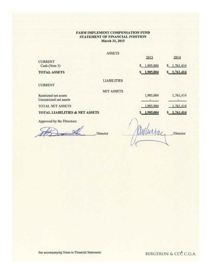#### FARM IMPLEMENT COMPENSATION FUND STATEMENT OF FINANCIAL POSITION March 31, 2015

#### **ASSETS**

|                                                  |                    | 2015        | 2014          |
|--------------------------------------------------|--------------------|-------------|---------------|
| <b>CURRENT</b><br>Cash (Note 3)                  |                    | \$1,905,004 | \$1,761,414   |
| <b>TOTAL ASSETS</b>                              |                    | \$1,905,004 | \$1,761,414   |
| <b>CURRENT</b>                                   | <b>LIABILITIES</b> |             |               |
| Restricted net assets<br>Unrestricted net assets | <b>NET ASSETS</b>  | 1,905,004   | 1,761,414     |
| <b>TOTAL NET ASSETS</b>                          |                    | 1,905,004   | 1,761,414     |
| <b>TOTAL LIABILITIES &amp; NET ASSETS</b>        |                    | \$1,905,004 | $S$ 1.761,414 |
| Approved by the Directors:                       |                    |             |               |

ABonulle Director

amlurray Director

BERGERON & CO., C.G.A.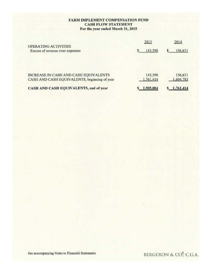#### FARM IMPLEMENT COMPENSATION FUND **CASH FLOW STATEMENT** For the year ended March 31, 2015

|                                                                                       | 2015                 | 2014                 |
|---------------------------------------------------------------------------------------|----------------------|----------------------|
| OPERATING ACTIVITIES<br>Excess of revenue over expenses                               | 143,590              | 156,631              |
| INCREASE IN CASH AND CASH EQUIVALENTS<br>CASH AND CASH EQUIVALENTS, beginning of year | 143,590<br>1,761,414 | 156,631<br>1,604,783 |
| CASH AND CASH EQUIVALENTS, end of year                                                | 1,905,004            | \$1,761,414          |

See accompanying Notes to Financial Statements

BERGERON & CO., C.G.A.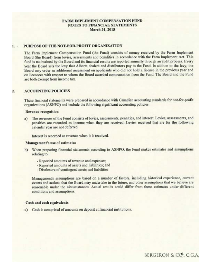#### **FARM IMPLEMENT COMPENSATION FUND NOTES TO FINANCIAL STATEMENTS** March 31, 2015

#### PURPOSE OF THE NOT-FOR-PROFIT ORGANIZATION

The Farm Implement Compensation Fund (the Fund) consists of money received by the Farm Implement Board (the Board) from levies, assessments and penalities in accordance with the Farm Implement Act. This fund is maintained by the Board and its financial results are reported annually through an audit process. Every year the Board sets the levy that Alberta dealers and distributors pay to the Fund. In additon to the levy, the Board may order an additional assessment on applicants who did not hold a licence in the previous year and on licencees with respect to whom the Board awarded compensation from the Fund. The Board and the Fund are both exempt from income tax.

#### **ACCOUNTING POLICIES** 2.

These financial statements were prepared in accordance with Canadian accounting standards for not-for-profit organizations (ASNPO) and include the following significant accounting policies:

#### **Revenue recognition**

a) The revenues of the Fund consists of levies, assessments, penalties, and interest. Levies, assessments, and penalties are recorded as income when they are received. Levies received that are for the following calendar year are not deferred.

Interest is recorded as revenue when it is received.

#### Management's use of estimates

- b) When preparing financial statements according to ASNPO, the Fund makes estimates and assumptions relating to:
	- Reported amounts of revenue and expenses;
	- Reported amounts of assets and liabilities; and
	- Disclosure of contingent assets and liabilities

Management's assumptions are based on a number of factors, including historical experience, current events and actions that the Board may undertake in the future, and other assumptions that we believe are reasonable under the circumstances. Actual results could differ from those estimates under different conditions and assumptions.

#### Cash and cash equivalents

c) Cash is comprised of amounts on deposit at financial institutions.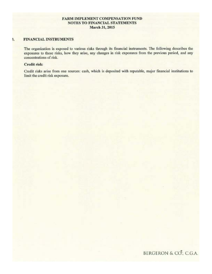#### **FARM IMPLEMENT COMPENSATION FUND** NOTES TO FINANCIAL STATEMENTS **March 31, 2015**

#### FINANCIAL INSTRUMENTS \$,

The organization is exposed to various risks through its financial instruments. The following describes the exposures to those risks, how they arise, any changes in risk exposures from the previous period, and any concentrations of risk.

#### Credit risk:

Credit risks arise from one sources: cash, which is deposited with reputable, major financial institutions to limit the credit risk exposure.

BERGERON & CO. C.G.A.